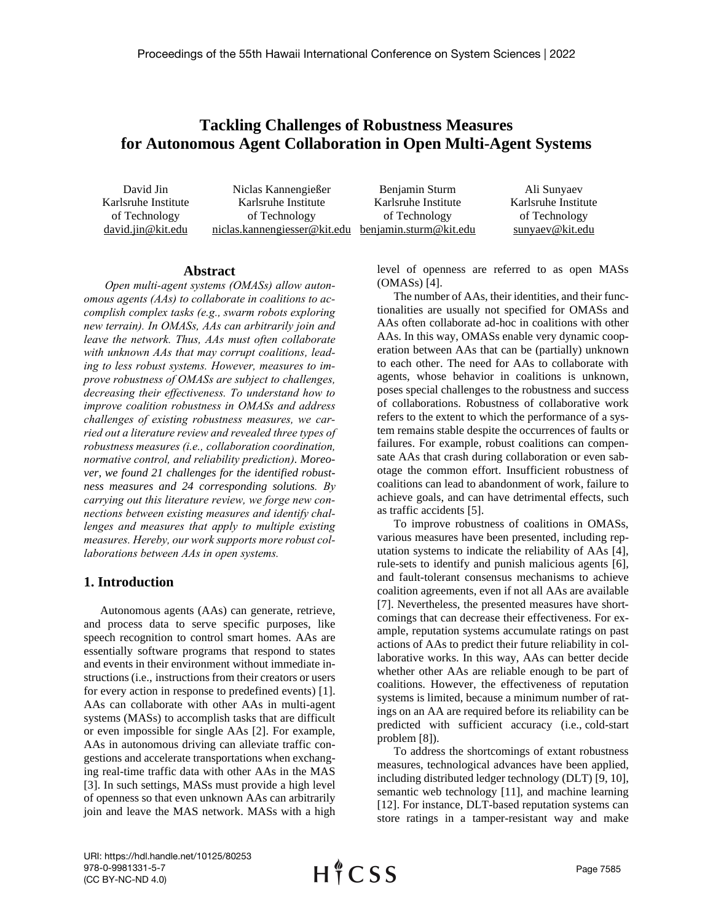# **Tackling Challenges of Robustness Measures for Autonomous Agent Collaboration in Open Multi-Agent Systems**

| David Jin           | Niclas Kannengießer          | Benjamin Sturm         | Ali Sunyaev         |
|---------------------|------------------------------|------------------------|---------------------|
| Karlsruhe Institute | Karlsruhe Institute          | Karlsruhe Institute    | Karlsruhe Institute |
| of Technology       | of Technology                | of Technology          | of Technology       |
| david.jin@kit.edu   | niclas.kannengiesser@kit.edu | benjamin.sturm@kit.edu | sunyaev@kit.edu     |

#### **Abstract**

*Open multi-agent systems (OMASs) allow autonomous agents (AAs) to collaborate in coalitions to accomplish complex tasks (e.g., swarm robots exploring new terrain). In OMASs, AAs can arbitrarily join and leave the network. Thus, AAs must often collaborate with unknown AAs that may corrupt coalitions, leading to less robust systems. However, measures to improve robustness of OMASs are subject to challenges, decreasing their effectiveness. To understand how to improve coalition robustness in OMASs and address challenges of existing robustness measures, we carried out a literature review and revealed three types of robustness measures (i.e., collaboration coordination, normative control, and reliability prediction). Moreover, we found 21 challenges for the identified robustness measures and 24 corresponding solutions. By carrying out this literature review, we forge new connections between existing measures and identify challenges and measures that apply to multiple existing measures. Hereby, our work supports more robust collaborations between AAs in open systems.* 

### **1. Introduction**

Autonomous agents (AAs) can generate, retrieve, and process data to serve specific purposes, like speech recognition to control smart homes. AAs are essentially software programs that respond to states and events in their environment without immediate instructions(i.e., instructions from their creators or users for every action in response to predefined events) [1]. AAs can collaborate with other AAs in multi-agent systems (MASs) to accomplish tasks that are difficult or even impossible for single AAs [2]. For example, AAs in autonomous driving can alleviate traffic congestions and accelerate transportations when exchanging real-time traffic data with other AAs in the MAS [3]. In such settings, MASs must provide a high level of openness so that even unknown AAs can arbitrarily join and leave the MAS network. MASs with a high level of openness are referred to as open MASs (OMASs) [4].

The number of AAs, their identities, and their functionalities are usually not specified for OMASs and AAs often collaborate ad-hoc in coalitions with other AAs. In this way, OMASs enable very dynamic cooperation between AAs that can be (partially) unknown to each other. The need for AAs to collaborate with agents, whose behavior in coalitions is unknown, poses special challenges to the robustness and success of collaborations. Robustness of collaborative work refers to the extent to which the performance of a system remains stable despite the occurrences of faults or failures. For example, robust coalitions can compensate AAs that crash during collaboration or even sabotage the common effort. Insufficient robustness of coalitions can lead to abandonment of work, failure to achieve goals, and can have detrimental effects, such as traffic accidents [5].

To improve robustness of coalitions in OMASs, various measures have been presented, including reputation systems to indicate the reliability of AAs [4], rule-sets to identify and punish malicious agents [6], and fault-tolerant consensus mechanisms to achieve coalition agreements, even if not all AAs are available [7]. Nevertheless, the presented measures have shortcomings that can decrease their effectiveness. For example, reputation systems accumulate ratings on past actions of AAs to predict their future reliability in collaborative works. In this way, AAs can better decide whether other AAs are reliable enough to be part of coalitions. However, the effectiveness of reputation systems is limited, because a minimum number of ratings on an AA are required before its reliability can be predicted with sufficient accuracy (i.e., cold-start problem [8]).

To address the shortcomings of extant robustness measures, technological advances have been applied, including distributed ledger technology (DLT) [9, 10], semantic web technology [11], and machine learning [12]. For instance, DLT-based reputation systems can store ratings in a tamper-resistant way and make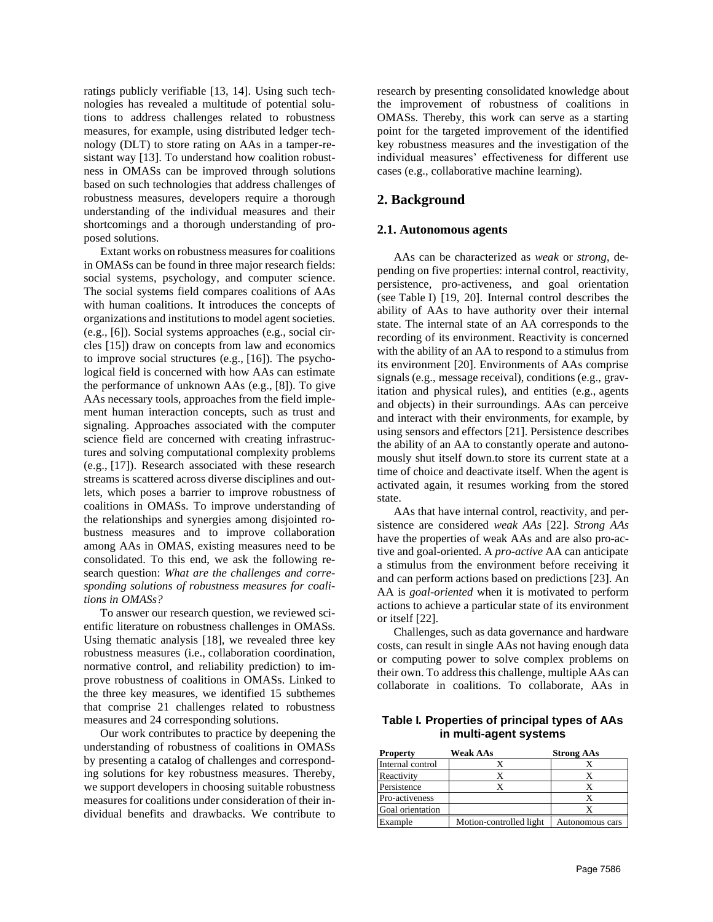ratings publicly verifiable [13, 14]. Using such technologies has revealed a multitude of potential solutions to address challenges related to robustness measures, for example, using distributed ledger technology (DLT) to store rating on AAs in a tamper-resistant way [13]. To understand how coalition robustness in OMASs can be improved through solutions based on such technologies that address challenges of robustness measures, developers require a thorough understanding of the individual measures and their shortcomings and a thorough understanding of proposed solutions.

Extant works on robustness measures for coalitions in OMASs can be found in three major research fields: social systems, psychology, and computer science. The social systems field compares coalitions of AAs with human coalitions. It introduces the concepts of organizations and institutions to model agent societies. (e.g., [6]). Social systems approaches (e.g., social circles [15]) draw on concepts from law and economics to improve social structures (e.g., [16]). The psychological field is concerned with how AAs can estimate the performance of unknown AAs (e.g., [8]). To give AAs necessary tools, approaches from the field implement human interaction concepts, such as trust and signaling. Approaches associated with the computer science field are concerned with creating infrastructures and solving computational complexity problems (e.g., [17]). Research associated with these research streams is scattered across diverse disciplines and outlets, which poses a barrier to improve robustness of coalitions in OMASs. To improve understanding of the relationships and synergies among disjointed robustness measures and to improve collaboration among AAs in OMAS, existing measures need to be consolidated. To this end, we ask the following research question: *What are the challenges and corresponding solutions of robustness measures for coalitions in OMASs?*

To answer our research question, we reviewed scientific literature on robustness challenges in OMASs. Using thematic analysis [18], we revealed three key robustness measures (i.e., collaboration coordination, normative control, and reliability prediction) to improve robustness of coalitions in OMASs. Linked to the three key measures, we identified 15 subthemes that comprise 21 challenges related to robustness measures and 24 corresponding solutions.

Our work contributes to practice by deepening the understanding of robustness of coalitions in OMASs by presenting a catalog of challenges and corresponding solutions for key robustness measures. Thereby, we support developers in choosing suitable robustness measures for coalitions under consideration of their individual benefits and drawbacks. We contribute to research by presenting consolidated knowledge about the improvement of robustness of coalitions in OMASs. Thereby, this work can serve as a starting point for the targeted improvement of the identified key robustness measures and the investigation of the individual measures' effectiveness for different use cases (e.g., collaborative machine learning).

# **2. Background**

#### **2.1. Autonomous agents**

AAs can be characterized as *weak* or *strong*, depending on five properties: internal control, reactivity, persistence, pro-activeness, and goal orientation (see [Table](#page-1-0) I) [19, 20]. Internal control describes the ability of AAs to have authority over their internal state. The internal state of an AA corresponds to the recording of its environment. Reactivity is concerned with the ability of an AA to respond to a stimulus from its environment [20]. Environments of AAs comprise signals (e.g., message receival), conditions (e.g., gravitation and physical rules), and entities (e.g., agents and objects) in their surroundings. AAs can perceive and interact with their environments, for example, by using sensors and effectors [21]. Persistence describes the ability of an AA to constantly operate and autonomously shut itself down.to store its current state at a time of choice and deactivate itself. When the agent is activated again, it resumes working from the stored state.

AAs that have internal control, reactivity, and persistence are considered *weak AAs* [22]. *Strong AAs* have the properties of weak AAs and are also pro-active and goal-oriented. A *pro-active* AA can anticipate a stimulus from the environment before receiving it and can perform actions based on predictions [23]. An AA is *goal-oriented* when it is motivated to perform actions to achieve a particular state of its environment or itself [22].

Challenges, such as data governance and hardware costs, can result in single AAs not having enough data or computing power to solve complex problems on their own. To address this challenge, multiple AAs can collaborate in coalitions. To collaborate, AAs in

<span id="page-1-0"></span>**Table I***.* **Properties of principal types of AAs in multi-agent systems** 

| <b>Property</b>  | <b>Weak AAs</b>         | <b>Strong AAs</b> |
|------------------|-------------------------|-------------------|
| Internal control |                         |                   |
| Reactivity       |                         |                   |
| Persistence      |                         |                   |
| Pro-activeness   |                         |                   |
| Goal orientation |                         |                   |
| Example          | Motion-controlled light | Autonomous cars   |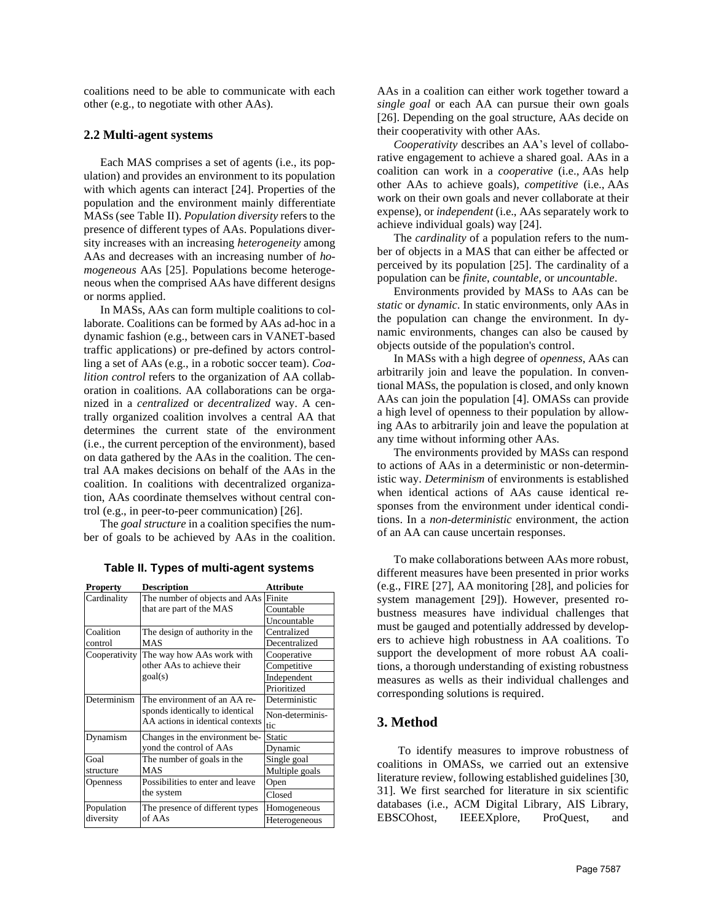coalitions need to be able to communicate with each other (e.g., to negotiate with other AAs).

### **2.2 Multi-agent systems**

Each MAS comprises a set of agents (i.e., its population) and provides an environment to its population with which agents can interact [24]. Properties of the population and the environment mainly differentiate MASs (see [Table](#page-2-0) II). *Population diversity* refers to the presence of different types of AAs. Populations diversity increases with an increasing *heterogeneity* among AAs and decreases with an increasing number of *homogeneous* AAs [25]. Populations become heterogeneous when the comprised AAs have different designs or norms applied.

In MASs, AAs can form multiple coalitions to collaborate. Coalitions can be formed by AAs ad-hoc in a dynamic fashion (e.g., between cars in VANET-based traffic applications) or pre-defined by actors controlling a set of AAs (e.g., in a robotic soccer team). *Coalition control* refers to the organization of AA collaboration in coalitions. AA collaborations can be organized in a *centralized* or *decentralized* way. A centrally organized coalition involves a central AA that determines the current state of the environment (i.e., the current perception of the environment), based on data gathered by the AAs in the coalition. The central AA makes decisions on behalf of the AAs in the coalition. In coalitions with decentralized organization, AAs coordinate themselves without central control (e.g., in peer-to-peer communication) [26].

The *goal structure* in a coalition specifies the number of goals to be achieved by AAs in the coalition.

<span id="page-2-0"></span>

| <b>Property</b> | <b>Description</b>                      | <b>Attribute</b> |
|-----------------|-----------------------------------------|------------------|
| Cardinality     | The number of objects and AAs           | Finite           |
|                 | that are part of the MAS                | Countable        |
|                 |                                         | Uncountable      |
| Coalition       | The design of authority in the          | Centralized      |
| control         | <b>MAS</b>                              | Decentralized    |
|                 | Cooperativity The way how AAs work with | Cooperative      |
|                 | other AAs to achieve their<br>goal(s)   | Competitive      |
|                 |                                         | Independent      |
|                 |                                         | Prioritized      |
| Determinism     | The environment of an AA re-            | Deterministic    |
|                 | sponds identically to identical         | Non-determinis-  |
|                 | AA actions in identical contexts        | tic              |
| Dynamism        | Changes in the environment be-          | Static           |
|                 | yond the control of AAs                 | Dynamic          |
| Goal            | The number of goals in the              | Single goal      |
| structure       | <b>MAS</b>                              | Multiple goals   |
| Openness        | Possibilities to enter and leave        | Open             |
|                 | the system                              | Closed           |
| Population      | The presence of different types         | Homogeneous      |
| diversity       | of AAs                                  | Heterogeneous    |

**Table II. Types of multi-agent systems**

AAs in a coalition can either work together toward a *single goal* or each AA can pursue their own goals [26]. Depending on the goal structure, AAs decide on their cooperativity with other AAs*.*

*Cooperativity* describes an AA's level of collaborative engagement to achieve a shared goal. AAs in a coalition can work in a *cooperative* (i.e., AAs help other AAs to achieve goals), *competitive* (i.e., AAs work on their own goals and never collaborate at their expense), or *independent* (i.e., AAs separately work to achieve individual goals) way [24].

The *cardinality* of a population refers to the number of objects in a MAS that can either be affected or perceived by its population [25]. The cardinality of a population can be *finite*, *countable*, or *uncountable*.

Environments provided by MASs to AAs can be *static* or *dynamic*. In static environments, only AAs in the population can change the environment. In dynamic environments, changes can also be caused by objects outside of the population's control.

In MASs with a high degree of *openness*, AAs can arbitrarily join and leave the population. In conventional MASs, the population is closed, and only known AAs can join the population [4]. OMASs can provide a high level of openness to their population by allowing AAs to arbitrarily join and leave the population at any time without informing other AAs.

The environments provided by MASs can respond to actions of AAs in a deterministic or non-deterministic way. *Determinism* of environments is established when identical actions of AAs cause identical responses from the environment under identical conditions. In a *non-deterministic* environment, the action of an AA can cause uncertain responses.

To make collaborations between AAs more robust, different measures have been presented in prior works (e.g., FIRE [27], AA monitoring [28], and policies for system management [29]). However, presented robustness measures have individual challenges that must be gauged and potentially addressed by developers to achieve high robustness in AA coalitions. To support the development of more robust AA coalitions, a thorough understanding of existing robustness measures as wells as their individual challenges and corresponding solutions is required.

# **3. Method**

To identify measures to improve robustness of coalitions in OMASs, we carried out an extensive literature review, following established guidelines [30, 31]. We first searched for literature in six scientific databases (i.e., ACM Digital Library, AIS Library, EBSCOhost, IEEEXplore, ProQuest, and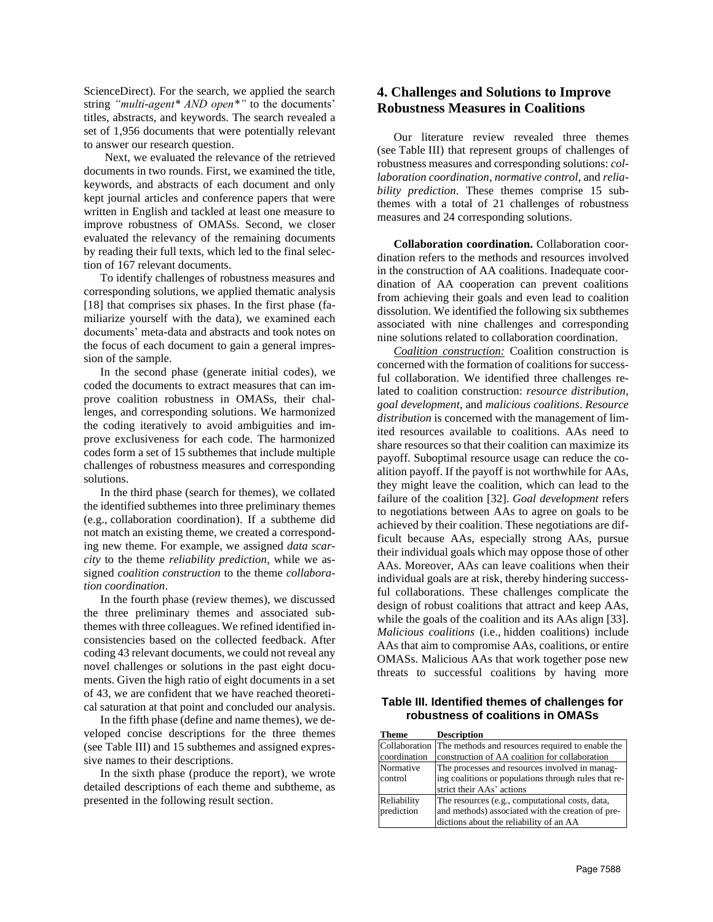ScienceDirect). For the search, we applied the search string *"multi-agent\* AND open\*"* to the documents' titles, abstracts, and keywords. The search revealed a set of 1,956 documents that were potentially relevant to answer our research question.

Next, we evaluated the relevance of the retrieved documents in two rounds. First, we examined the title, keywords, and abstracts of each document and only kept journal articles and conference papers that were written in English and tackled at least one measure to improve robustness of OMASs. Second, we closer evaluated the relevancy of the remaining documents by reading their full texts, which led to the final selection of 167 relevant documents.

To identify challenges of robustness measures and corresponding solutions, we applied thematic analysis [18] that comprises six phases. In the first phase (familiarize yourself with the data), we examined each documents' meta-data and abstracts and took notes on the focus of each document to gain a general impression of the sample.

In the second phase (generate initial codes), we coded the documents to extract measures that can improve coalition robustness in OMASs, their challenges, and corresponding solutions. We harmonized the coding iteratively to avoid ambiguities and improve exclusiveness for each code. The harmonized codes form a set of 15 subthemes that include multiple challenges of robustness measures and corresponding solutions.

In the third phase (search for themes), we collated the identified subthemes into three preliminary themes (e.g., collaboration coordination). If a subtheme did not match an existing theme, we created a corresponding new theme. For example, we assigned *data scarcity* to the theme *reliability prediction*, while we assigned *coalition construction* to the theme *collaboration coordination*.

In the fourth phase (review themes), we discussed the three preliminary themes and associated subthemes with three colleagues. We refined identified inconsistencies based on the collected feedback. After coding 43 relevant documents, we could not reveal any novel challenges or solutions in the past eight documents. Given the high ratio of eight documents in a set of 43, we are confident that we have reached theoretical saturation at that point and concluded our analysis.

In the fifth phase (define and name themes), we developed concise descriptions for the three themes (see [Table](#page-3-0) III) and 15 subthemes and assigned expressive names to their descriptions.

In the sixth phase (produce the report), we wrote detailed descriptions of each theme and subtheme, as presented in the following result section.

# **4. Challenges and Solutions to Improve Robustness Measures in Coalitions**

Our literature review revealed three themes (see [Table](#page-3-0) III) that represent groups of challenges of robustness measures and corresponding solutions: *collaboration coordination*, *normative control*, and *reliability prediction*. These themes comprise 15 subthemes with a total of 21 challenges of robustness measures and 24 corresponding solutions.

**Collaboration coordination.** Collaboration coordination refers to the methods and resources involved in the construction of AA coalitions. Inadequate coordination of AA cooperation can prevent coalitions from achieving their goals and even lead to coalition dissolution. We identified the following six subthemes associated with nine challenges and corresponding nine solutions related to collaboration coordination.

*Coalition construction:* Coalition construction is concerned with the formation of coalitions for successful collaboration. We identified three challenges related to coalition construction: *resource distribution*, *goal development*, and *malicious coalitions*. *Resource distribution* is concerned with the management of limited resources available to coalitions. AAs need to share resources so that their coalition can maximize its payoff. Suboptimal resource usage can reduce the coalition payoff. If the payoff is not worthwhile for AAs, they might leave the coalition, which can lead to the failure of the coalition [32]. *Goal development* refers to negotiations between AAs to agree on goals to be achieved by their coalition. These negotiations are difficult because AAs, especially strong AAs, pursue their individual goals which may oppose those of other AAs. Moreover, AAs can leave coalitions when their individual goals are at risk, thereby hindering successful collaborations. These challenges complicate the design of robust coalitions that attract and keep AAs, while the goals of the coalition and its AAs align [33]. *Malicious coalitions* (i.e., hidden coalitions) include AAs that aim to compromise AAs, coalitions, or entire OMASs. Malicious AAs that work together pose new threats to successful coalitions by having more

<span id="page-3-0"></span>**Table III. Identified themes of challenges for robustness of coalitions in OMASs**

| <b>Theme</b> | <b>Description</b>                                             |  |
|--------------|----------------------------------------------------------------|--|
|              | Collaboration The methods and resources required to enable the |  |
| coordination | construction of AA coalition for collaboration                 |  |
| Normative    | The processes and resources involved in manag-                 |  |
| control      | ing coalitions or populations through rules that re-           |  |
|              | strict their AAs' actions                                      |  |
| Reliability  | The resources (e.g., computational costs, data,                |  |
| prediction   | and methods) associated with the creation of pre-              |  |
|              | dictions about the reliability of an AA                        |  |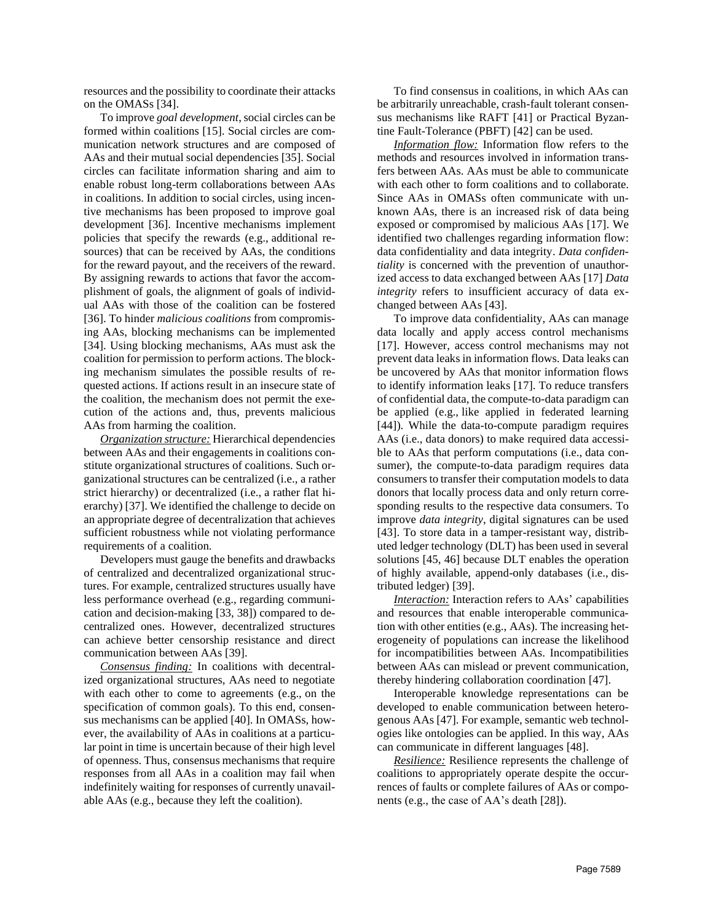resources and the possibility to coordinate their attacks on the OMASs [34].

To improve *goal development*, social circles can be formed within coalitions [15]. Social circles are communication network structures and are composed of AAs and their mutual social dependencies [35]. Social circles can facilitate information sharing and aim to enable robust long-term collaborations between AAs in coalitions. In addition to social circles, using incentive mechanisms has been proposed to improve goal development [36]. Incentive mechanisms implement policies that specify the rewards (e.g., additional resources) that can be received by AAs, the conditions for the reward payout, and the receivers of the reward. By assigning rewards to actions that favor the accomplishment of goals, the alignment of goals of individual AAs with those of the coalition can be fostered [36]. To hinder *malicious coalitions* from compromising AAs, blocking mechanisms can be implemented [34]. Using blocking mechanisms, AAs must ask the coalition for permission to perform actions. The blocking mechanism simulates the possible results of requested actions. If actions result in an insecure state of the coalition, the mechanism does not permit the execution of the actions and, thus, prevents malicious AAs from harming the coalition.

*Organization structure:* Hierarchical dependencies between AAs and their engagements in coalitions constitute organizational structures of coalitions. Such organizational structures can be centralized (i.e., a rather strict hierarchy) or decentralized (i.e., a rather flat hierarchy) [37]. We identified the challenge to decide on an appropriate degree of decentralization that achieves sufficient robustness while not violating performance requirements of a coalition.

Developers must gauge the benefits and drawbacks of centralized and decentralized organizational structures. For example, centralized structures usually have less performance overhead (e.g., regarding communication and decision-making [33, 38]) compared to decentralized ones. However, decentralized structures can achieve better censorship resistance and direct communication between AAs [39].

*Consensus finding:* In coalitions with decentralized organizational structures, AAs need to negotiate with each other to come to agreements (e.g., on the specification of common goals). To this end, consensus mechanisms can be applied [40]. In OMASs, however, the availability of AAs in coalitions at a particular point in time is uncertain because of their high level of openness. Thus, consensus mechanisms that require responses from all AAs in a coalition may fail when indefinitely waiting for responses of currently unavailable AAs (e.g., because they left the coalition).

To find consensus in coalitions, in which AAs can be arbitrarily unreachable, crash-fault tolerant consensus mechanisms like RAFT [41] or Practical Byzantine Fault-Tolerance (PBFT) [42] can be used.

*Information flow:* Information flow refers to the methods and resources involved in information transfers between AAs. AAs must be able to communicate with each other to form coalitions and to collaborate. Since AAs in OMASs often communicate with unknown AAs, there is an increased risk of data being exposed or compromised by malicious AAs [17]. We identified two challenges regarding information flow: data confidentiality and data integrity. *Data confidentiality* is concerned with the prevention of unauthorized access to data exchanged between AAs [17] *Data integrity* refers to insufficient accuracy of data exchanged between AAs [43].

To improve data confidentiality, AAs can manage data locally and apply access control mechanisms [17]. However, access control mechanisms may not prevent data leaks in information flows. Data leaks can be uncovered by AAs that monitor information flows to identify information leaks [17]. To reduce transfers of confidential data, the compute-to-data paradigm can be applied (e.g., like applied in federated learning [44]). While the data-to-compute paradigm requires AAs (i.e., data donors) to make required data accessible to AAs that perform computations (i.e., data consumer), the compute-to-data paradigm requires data consumers to transfer their computation models to data donors that locally process data and only return corresponding results to the respective data consumers. To improve *data integrity*, digital signatures can be used [43]. To store data in a tamper-resistant way, distributed ledger technology (DLT) has been used in several solutions [45, 46] because DLT enables the operation of highly available, append-only databases (i.e., distributed ledger) [39].

*Interaction:* Interaction refers to AAs' capabilities and resources that enable interoperable communication with other entities (e.g., AAs). The increasing heterogeneity of populations can increase the likelihood for incompatibilities between AAs. Incompatibilities between AAs can mislead or prevent communication, thereby hindering collaboration coordination [47].

Interoperable knowledge representations can be developed to enable communication between heterogenous AAs [47]. For example, semantic web technologies like ontologies can be applied. In this way, AAs can communicate in different languages [48].

*Resilience:* Resilience represents the challenge of coalitions to appropriately operate despite the occurrences of faults or complete failures of AAs or components (e.g., the case of AA's death [28]).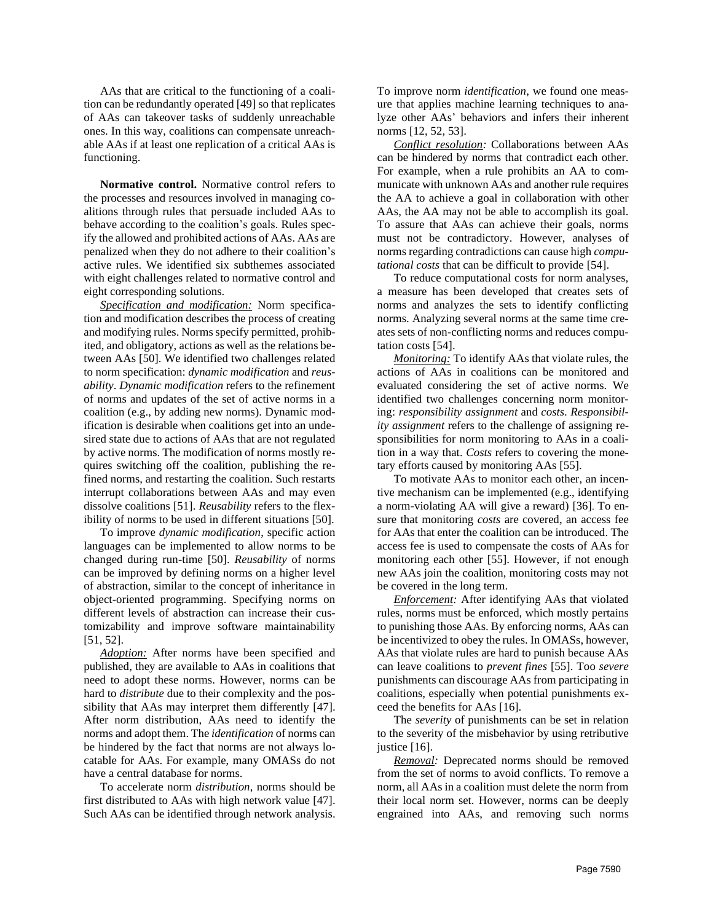AAs that are critical to the functioning of a coalition can be redundantly operated [49] so that replicates of AAs can takeover tasks of suddenly unreachable ones. In this way, coalitions can compensate unreachable AAs if at least one replication of a critical AAs is functioning.

**Normative control.** Normative control refers to the processes and resources involved in managing coalitions through rules that persuade included AAs to behave according to the coalition's goals. Rules specify the allowed and prohibited actions of AAs. AAs are penalized when they do not adhere to their coalition's active rules. We identified six subthemes associated with eight challenges related to normative control and eight corresponding solutions.

*Specification and modification:* Norm specification and modification describes the process of creating and modifying rules. Norms specify permitted, prohibited, and obligatory, actions as well as the relations between AAs [50]. We identified two challenges related to norm specification: *dynamic modification* and *reusability*. *Dynamic modification* refers to the refinement of norms and updates of the set of active norms in a coalition (e.g., by adding new norms). Dynamic modification is desirable when coalitions get into an undesired state due to actions of AAs that are not regulated by active norms. The modification of norms mostly requires switching off the coalition, publishing the refined norms, and restarting the coalition. Such restarts interrupt collaborations between AAs and may even dissolve coalitions [51]. *Reusability* refers to the flexibility of norms to be used in different situations [50].

To improve *dynamic modification*, specific action languages can be implemented to allow norms to be changed during run-time [50]. *Reusability* of norms can be improved by defining norms on a higher level of abstraction, similar to the concept of inheritance in object-oriented programming. Specifying norms on different levels of abstraction can increase their customizability and improve software maintainability [51, 52].

*Adoption:* After norms have been specified and published, they are available to AAs in coalitions that need to adopt these norms. However, norms can be hard to *distribute* due to their complexity and the possibility that AAs may interpret them differently [47]. After norm distribution, AAs need to identify the norms and adopt them. The *identification* of norms can be hindered by the fact that norms are not always locatable for AAs. For example, many OMASs do not have a central database for norms.

To accelerate norm *distribution*, norms should be first distributed to AAs with high network value [47]. Such AAs can be identified through network analysis. To improve norm *identification*, we found one measure that applies machine learning techniques to analyze other AAs' behaviors and infers their inherent norms [12, 52, 53].

*Conflict resolution:* Collaborations between AAs can be hindered by norms that contradict each other. For example, when a rule prohibits an AA to communicate with unknown AAs and another rule requires the AA to achieve a goal in collaboration with other AAs, the AA may not be able to accomplish its goal. To assure that AAs can achieve their goals, norms must not be contradictory. However, analyses of norms regarding contradictions can cause high *computational costs* that can be difficult to provide [54].

To reduce computational costs for norm analyses, a measure has been developed that creates sets of norms and analyzes the sets to identify conflicting norms. Analyzing several norms at the same time creates sets of non-conflicting norms and reduces computation costs [54].

*Monitoring:* To identify AAs that violate rules, the actions of AAs in coalitions can be monitored and evaluated considering the set of active norms. We identified two challenges concerning norm monitoring: *responsibility assignment* and *costs*. *Responsibility assignment* refers to the challenge of assigning responsibilities for norm monitoring to AAs in a coalition in a way that. *Costs* refers to covering the monetary efforts caused by monitoring AAs [55].

To motivate AAs to monitor each other, an incentive mechanism can be implemented (e.g., identifying a norm-violating AA will give a reward) [36]. To ensure that monitoring *costs* are covered, an access fee for AAs that enter the coalition can be introduced. The access fee is used to compensate the costs of AAs for monitoring each other [55]. However, if not enough new AAs join the coalition, monitoring costs may not be covered in the long term.

*Enforcement:* After identifying AAs that violated rules, norms must be enforced, which mostly pertains to punishing those AAs. By enforcing norms, AAs can be incentivized to obey the rules. In OMASs, however, AAs that violate rules are hard to punish because AAs can leave coalitions to *prevent fines* [55]. Too *severe* punishments can discourage AAs from participating in coalitions, especially when potential punishments exceed the benefits for AAs [16].

The *severity* of punishments can be set in relation to the severity of the misbehavior by using retributive justice [16].

*Removal:* Deprecated norms should be removed from the set of norms to avoid conflicts. To remove a norm, all AAs in a coalition must delete the norm from their local norm set. However, norms can be deeply engrained into AAs, and removing such norms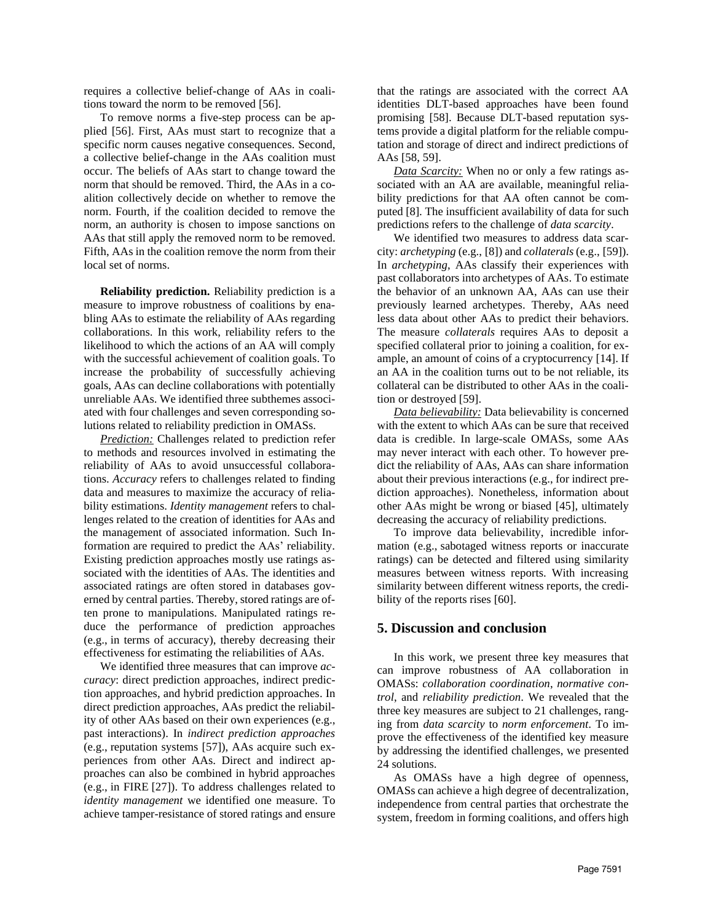requires a collective belief-change of AAs in coalitions toward the norm to be removed [56].

To remove norms a five-step process can be applied [56]. First, AAs must start to recognize that a specific norm causes negative consequences. Second, a collective belief-change in the AAs coalition must occur. The beliefs of AAs start to change toward the norm that should be removed. Third, the AAs in a coalition collectively decide on whether to remove the norm. Fourth, if the coalition decided to remove the norm, an authority is chosen to impose sanctions on AAs that still apply the removed norm to be removed. Fifth, AAs in the coalition remove the norm from their local set of norms.

**Reliability prediction.** Reliability prediction is a measure to improve robustness of coalitions by enabling AAs to estimate the reliability of AAs regarding collaborations. In this work, reliability refers to the likelihood to which the actions of an AA will comply with the successful achievement of coalition goals. To increase the probability of successfully achieving goals, AAs can decline collaborations with potentially unreliable AAs. We identified three subthemes associated with four challenges and seven corresponding solutions related to reliability prediction in OMASs.

*Prediction:* Challenges related to prediction refer to methods and resources involved in estimating the reliability of AAs to avoid unsuccessful collaborations. *Accuracy* refers to challenges related to finding data and measures to maximize the accuracy of reliability estimations. *Identity management* refers to challenges related to the creation of identities for AAs and the management of associated information. Such Information are required to predict the AAs' reliability. Existing prediction approaches mostly use ratings associated with the identities of AAs. The identities and associated ratings are often stored in databases governed by central parties. Thereby, stored ratings are often prone to manipulations. Manipulated ratings reduce the performance of prediction approaches (e.g., in terms of accuracy), thereby decreasing their effectiveness for estimating the reliabilities of AAs.

We identified three measures that can improve *accuracy*: direct prediction approaches, indirect prediction approaches, and hybrid prediction approaches. In direct prediction approaches, AAs predict the reliability of other AAs based on their own experiences (e.g., past interactions). In *indirect prediction approaches* (e.g., reputation systems [57]), AAs acquire such experiences from other AAs. Direct and indirect approaches can also be combined in hybrid approaches (e.g., in FIRE [27]). To address challenges related to *identity management* we identified one measure. To achieve tamper-resistance of stored ratings and ensure that the ratings are associated with the correct AA identities DLT-based approaches have been found promising [58]. Because DLT-based reputation systems provide a digital platform for the reliable computation and storage of direct and indirect predictions of AAs [58, 59].

*Data Scarcity:* When no or only a few ratings associated with an AA are available, meaningful reliability predictions for that AA often cannot be computed [8]*.* The insufficient availability of data for such predictions refers to the challenge of *data scarcity*.

We identified two measures to address data scarcity: *archetyping* (e.g., [8]) and *collaterals* (e.g., [59]). In *archetyping*, AAs classify their experiences with past collaborators into archetypes of AAs. To estimate the behavior of an unknown AA, AAs can use their previously learned archetypes. Thereby, AAs need less data about other AAs to predict their behaviors. The measure *collaterals* requires AAs to deposit a specified collateral prior to joining a coalition, for example, an amount of coins of a cryptocurrency [14]. If an AA in the coalition turns out to be not reliable, its collateral can be distributed to other AAs in the coalition or destroyed [59].

*Data believability:* Data believability is concerned with the extent to which AAs can be sure that received data is credible. In large-scale OMASs, some AAs may never interact with each other. To however predict the reliability of AAs, AAs can share information about their previous interactions (e.g., for indirect prediction approaches). Nonetheless, information about other AAs might be wrong or biased [45], ultimately decreasing the accuracy of reliability predictions.

To improve data believability, incredible information (e.g., sabotaged witness reports or inaccurate ratings) can be detected and filtered using similarity measures between witness reports. With increasing similarity between different witness reports, the credibility of the reports rises [60].

### **5. Discussion and conclusion**

In this work, we present three key measures that can improve robustness of AA collaboration in OMASs: *collaboration coordination*, *normative control*, and *reliability prediction*. We revealed that the three key measures are subject to 21 challenges, ranging from *data scarcity* to *norm enforcement*. To improve the effectiveness of the identified key measure by addressing the identified challenges, we presented 24 solutions.

As OMASs have a high degree of openness, OMASs can achieve a high degree of decentralization, independence from central parties that orchestrate the system, freedom in forming coalitions, and offers high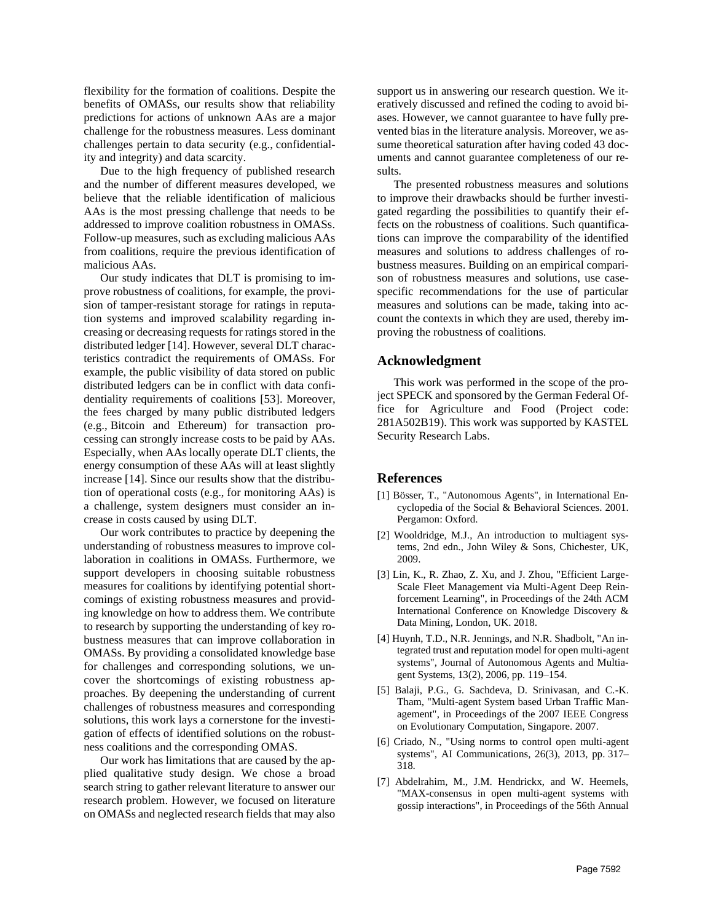flexibility for the formation of coalitions. Despite the benefits of OMASs, our results show that reliability predictions for actions of unknown AAs are a major challenge for the robustness measures. Less dominant challenges pertain to data security (e.g., confidentiality and integrity) and data scarcity.

Due to the high frequency of published research and the number of different measures developed, we believe that the reliable identification of malicious AAs is the most pressing challenge that needs to be addressed to improve coalition robustness in OMASs. Follow-up measures, such as excluding malicious AAs from coalitions, require the previous identification of malicious AAs.

Our study indicates that DLT is promising to improve robustness of coalitions, for example, the provision of tamper-resistant storage for ratings in reputation systems and improved scalability regarding increasing or decreasing requests for ratings stored in the distributed ledger [14]. However, several DLT characteristics contradict the requirements of OMASs. For example, the public visibility of data stored on public distributed ledgers can be in conflict with data confidentiality requirements of coalitions [53]. Moreover, the fees charged by many public distributed ledgers (e.g., Bitcoin and Ethereum) for transaction processing can strongly increase costs to be paid by AAs. Especially, when AAs locally operate DLT clients, the energy consumption of these AAs will at least slightly increase [14]. Since our results show that the distribution of operational costs (e.g., for monitoring AAs) is a challenge, system designers must consider an increase in costs caused by using DLT.

Our work contributes to practice by deepening the understanding of robustness measures to improve collaboration in coalitions in OMASs. Furthermore, we support developers in choosing suitable robustness measures for coalitions by identifying potential shortcomings of existing robustness measures and providing knowledge on how to address them. We contribute to research by supporting the understanding of key robustness measures that can improve collaboration in OMASs. By providing a consolidated knowledge base for challenges and corresponding solutions, we uncover the shortcomings of existing robustness approaches. By deepening the understanding of current challenges of robustness measures and corresponding solutions, this work lays a cornerstone for the investigation of effects of identified solutions on the robustness coalitions and the corresponding OMAS.

Our work has limitations that are caused by the applied qualitative study design. We chose a broad search string to gather relevant literature to answer our research problem. However, we focused on literature on OMASs and neglected research fields that may also

support us in answering our research question. We iteratively discussed and refined the coding to avoid biases. However, we cannot guarantee to have fully prevented bias in the literature analysis. Moreover, we assume theoretical saturation after having coded 43 documents and cannot guarantee completeness of our results.

The presented robustness measures and solutions to improve their drawbacks should be further investigated regarding the possibilities to quantify their effects on the robustness of coalitions. Such quantifications can improve the comparability of the identified measures and solutions to address challenges of robustness measures. Building on an empirical comparison of robustness measures and solutions, use casespecific recommendations for the use of particular measures and solutions can be made, taking into account the contexts in which they are used, thereby improving the robustness of coalitions.

#### **Acknowledgment**

This work was performed in the scope of the project SPECK and sponsored by the German Federal Office for Agriculture and Food (Project code: 281A502B19). This work was supported by KASTEL Security Research Labs.

#### **References**

- [1] Bösser, T., "Autonomous Agents", in International Encyclopedia of the Social & Behavioral Sciences. 2001. Pergamon: Oxford.
- [2] Wooldridge, M.J., An introduction to multiagent systems, 2nd edn., John Wiley & Sons, Chichester, UK, 2009.
- [3] Lin, K., R. Zhao, Z. Xu, and J. Zhou, "Efficient Large-Scale Fleet Management via Multi-Agent Deep Reinforcement Learning", in Proceedings of the 24th ACM International Conference on Knowledge Discovery & Data Mining, London, UK. 2018.
- [4] Huynh, T.D., N.R. Jennings, and N.R. Shadbolt, "An integrated trust and reputation model for open multi-agent systems", Journal of Autonomous Agents and Multiagent Systems, 13(2), 2006, pp. 119–154.
- [5] Balaji, P.G., G. Sachdeva, D. Srinivasan, and C.-K. Tham, "Multi-agent System based Urban Traffic Management", in Proceedings of the 2007 IEEE Congress on Evolutionary Computation, Singapore. 2007.
- [6] Criado, N., "Using norms to control open multi-agent systems", AI Communications, 26(3), 2013, pp. 317– 318.
- [7] Abdelrahim, M., J.M. Hendrickx, and W. Heemels, "MAX-consensus in open multi-agent systems with gossip interactions", in Proceedings of the 56th Annual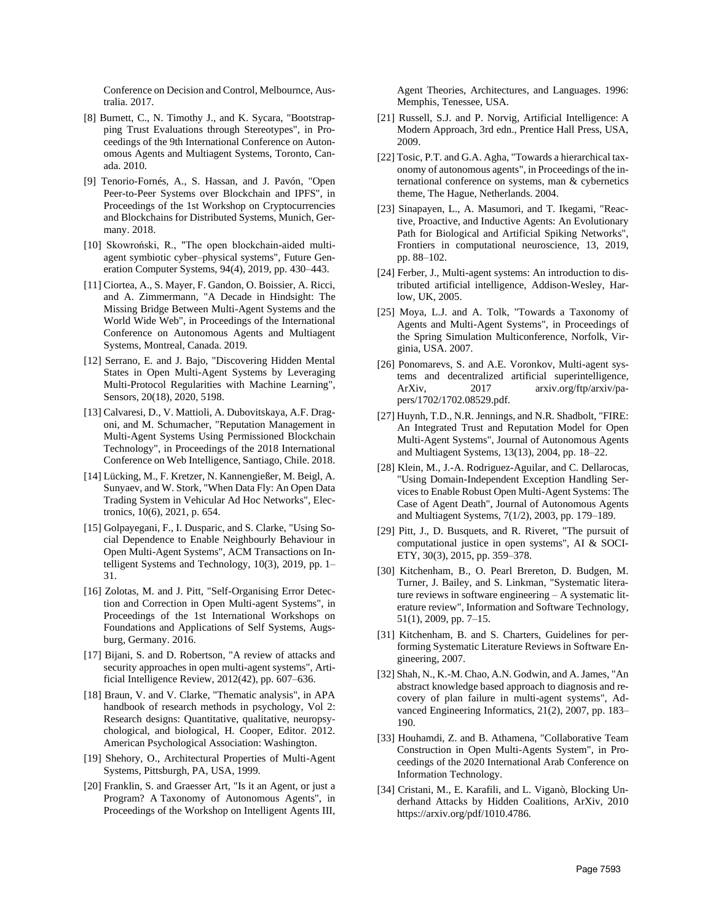Conference on Decision and Control, Melbournce, Australia. 2017.

- [8] Burnett, C., N. Timothy J., and K. Sycara, "Bootstrapping Trust Evaluations through Stereotypes", in Proceedings of the 9th International Conference on Autonomous Agents and Multiagent Systems, Toronto, Canada. 2010.
- [9] Tenorio-Fornés, A., S. Hassan, and J. Pavón, "Open Peer-to-Peer Systems over Blockchain and IPFS", in Proceedings of the 1st Workshop on Cryptocurrencies and Blockchains for Distributed Systems, Munich, Germany. 2018.
- [10] Skowroński, R., "The open blockchain-aided multiagent symbiotic cyber–physical systems", Future Generation Computer Systems, 94(4), 2019, pp. 430–443.
- [11] Ciortea, A., S. Mayer, F. Gandon, O. Boissier, A. Ricci, and A. Zimmermann, "A Decade in Hindsight: The Missing Bridge Between Multi-Agent Systems and the World Wide Web", in Proceedings of the International Conference on Autonomous Agents and Multiagent Systems, Montreal, Canada. 2019.
- [12] Serrano, E. and J. Bajo, "Discovering Hidden Mental States in Open Multi-Agent Systems by Leveraging Multi-Protocol Regularities with Machine Learning", Sensors, 20(18), 2020, 5198.
- [13] Calvaresi, D., V. Mattioli, A. Dubovitskaya, A.F. Dragoni, and M. Schumacher, "Reputation Management in Multi-Agent Systems Using Permissioned Blockchain Technology", in Proceedings of the 2018 International Conference on Web Intelligence, Santiago, Chile. 2018.
- [14] Lücking, M., F. Kretzer, N. Kannengießer, M. Beigl, A. Sunyaev, and W. Stork, "When Data Fly: An Open Data Trading System in Vehicular Ad Hoc Networks", Electronics, 10(6), 2021, p. 654.
- [15] Golpayegani, F., I. Dusparic, and S. Clarke, "Using Social Dependence to Enable Neighbourly Behaviour in Open Multi-Agent Systems", ACM Transactions on Intelligent Systems and Technology, 10(3), 2019, pp. 1– 31.
- [16] Zolotas, M. and J. Pitt, "Self-Organising Error Detection and Correction in Open Multi-agent Systems", in Proceedings of the 1st International Workshops on Foundations and Applications of Self Systems, Augsburg, Germany. 2016.
- [17] Bijani, S. and D. Robertson, "A review of attacks and security approaches in open multi-agent systems", Artificial Intelligence Review, 2012(42), pp. 607–636.
- [18] Braun, V. and V. Clarke, "Thematic analysis", in APA handbook of research methods in psychology, Vol 2: Research designs: Quantitative, qualitative, neuropsychological, and biological, H. Cooper, Editor. 2012. American Psychological Association: Washington.
- [19] Shehory, O., Architectural Properties of Multi-Agent Systems, Pittsburgh, PA, USA, 1999.
- [20] Franklin, S. and Graesser Art, "Is it an Agent, or just a Program? A Taxonomy of Autonomous Agents", in Proceedings of the Workshop on Intelligent Agents III,

Agent Theories, Architectures, and Languages. 1996: Memphis, Tenessee, USA.

- [21] Russell, S.J. and P. Norvig, Artificial Intelligence: A Modern Approach, 3rd edn., Prentice Hall Press, USA, 2009.
- [22] Tosic, P.T. and G.A. Agha, "Towards a hierarchical taxonomy of autonomous agents", in Proceedings of the international conference on systems, man & cybernetics theme, The Hague, Netherlands. 2004.
- [23] Sinapayen, L., A. Masumori, and T. Ikegami, "Reactive, Proactive, and Inductive Agents: An Evolutionary Path for Biological and Artificial Spiking Networks", Frontiers in computational neuroscience, 13, 2019, pp. 88–102.
- [24] Ferber, J., Multi-agent systems: An introduction to distributed artificial intelligence, Addison-Wesley, Harlow, UK, 2005.
- [25] Moya, L.J. and A. Tolk, "Towards a Taxonomy of Agents and Multi-Agent Systems", in Proceedings of the Spring Simulation Multiconference, Norfolk, Virginia, USA. 2007.
- [26] Ponomarevs, S. and A.E. Voronkov, Multi-agent systems and decentralized artificial superintelligence, ArXiv, 2017 arxiv.org/ftp/arxiv/papers/1702/1702.08529.pdf.
- [27] Huynh, T.D., N.R. Jennings, and N.R. Shadbolt, "FIRE: An Integrated Trust and Reputation Model for Open Multi-Agent Systems", Journal of Autonomous Agents and Multiagent Systems, 13(13), 2004, pp. 18–22.
- [28] Klein, M., J.-A. Rodriguez-Aguilar, and C. Dellarocas, "Using Domain-Independent Exception Handling Services to Enable Robust Open Multi-Agent Systems: The Case of Agent Death", Journal of Autonomous Agents and Multiagent Systems, 7(1/2), 2003, pp. 179–189.
- [29] Pitt, J., D. Busquets, and R. Riveret, "The pursuit of computational justice in open systems", AI & SOCI-ETY, 30(3), 2015, pp. 359–378.
- [30] Kitchenham, B., O. Pearl Brereton, D. Budgen, M. Turner, J. Bailey, and S. Linkman, "Systematic literature reviews in software engineering – A systematic literature review", Information and Software Technology, 51(1), 2009, pp. 7–15.
- [31] Kitchenham, B. and S. Charters, Guidelines for performing Systematic Literature Reviews in Software Engineering, 2007.
- [32] Shah, N., K.-M. Chao, A.N. Godwin, and A. James, "An abstract knowledge based approach to diagnosis and recovery of plan failure in multi-agent systems", Advanced Engineering Informatics, 21(2), 2007, pp. 183– 190.
- [33] Houhamdi, Z. and B. Athamena, "Collaborative Team Construction in Open Multi-Agents System", in Proceedings of the 2020 International Arab Conference on Information Technology.
- [34] Cristani, M., E. Karafili, and L. Viganò, Blocking Underhand Attacks by Hidden Coalitions, ArXiv, 2010 https://arxiv.org/pdf/1010.4786.